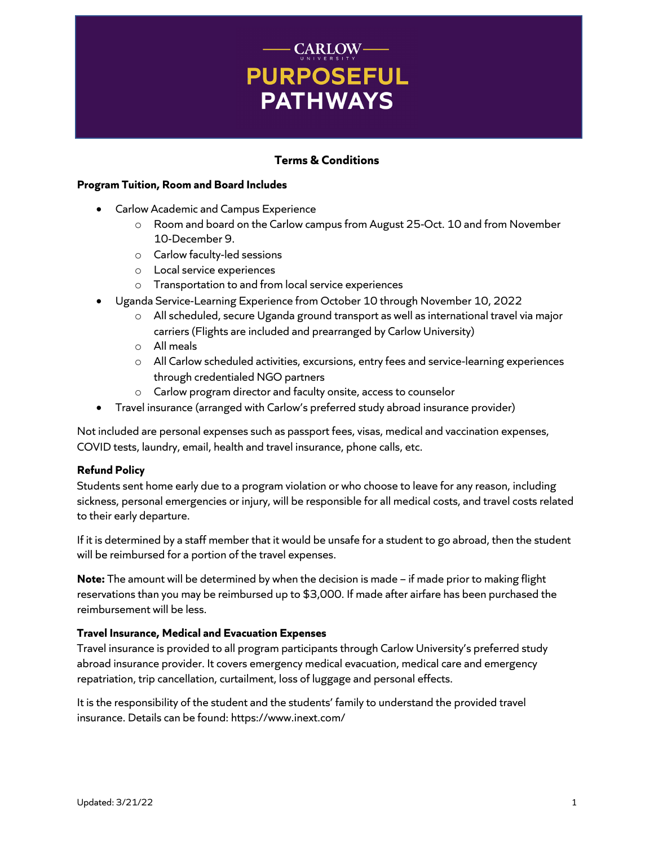# **CARLOW-PURPOSEFUL PATHWAYS**

# **Terms & Conditions**

# **Program Tuition, Room and Board Includes**

- Carlow Academic and Campus Experience
	- o Room and board on the Carlow campus from August 25-Oct. 10 and from November 10-December 9.
	- o Carlow faculty-led sessions
	- o Local service experiences
	- o Transportation to and from local service experiences
- Uganda Service-Learning Experience from October 10 through November 10, 2022
	- o All scheduled, secure Uganda ground transport as well as international travel via major carriers (Flights are included and prearranged by Carlow University)
	- o All meals
	- o All Carlow scheduled activities, excursions, entry fees and service-learning experiences through credentialed NGO partners
	- o Carlow program director and faculty onsite, access to counselor
- Travel insurance (arranged with Carlow's preferred study abroad insurance provider)

Not included are personal expenses such as passport fees, visas, medical and vaccination expenses, COVID tests, laundry, email, health and travel insurance, phone calls, etc.

# **Refund Policy**

Students sent home early due to a program violation or who choose to leave for any reason, including sickness, personal emergencies or injury, will be responsible for all medical costs, and travel costs related to their early departure.

If it is determined by a staff member that it would be unsafe for a student to go abroad, then the student will be reimbursed for a portion of the travel expenses.

**Note:** The amount will be determined by when the decision is made – if made prior to making flight reservations than you may be reimbursed up to \$3,000. If made after airfare has been purchased the reimbursement will be less.

# **Travel Insurance, Medical and Evacuation Expenses**

Travel insurance is provided to all program participants through Carlow University's preferred study abroad insurance provider. It covers emergency medical evacuation, medical care and emergency repatriation, trip cancellation, curtailment, loss of luggage and personal effects.

It is the responsibility of the student and the students' family to understand the provided travel insurance. Details can be found: https://www.inext.com/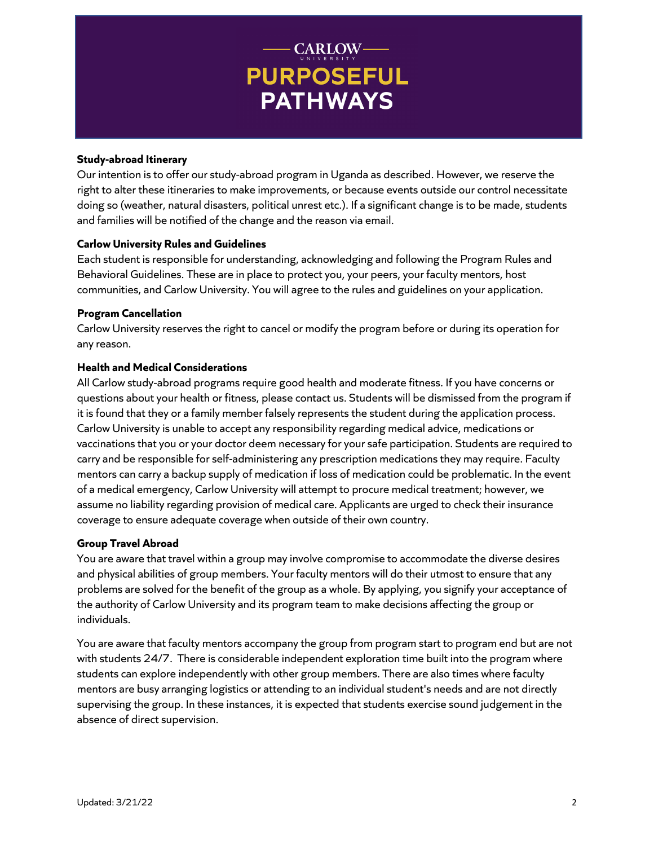# - CARLOW-**PURPOSEFUL PATHWAYS**

#### **Study-abroad Itinerary**

Our intention is to offer our study-abroad program in Uganda as described. However, we reserve the right to alter these itineraries to make improvements, or because events outside our control necessitate doing so (weather, natural disasters, political unrest etc.). If a significant change is to be made, students and families will be notified of the change and the reason via email.

# **Carlow University Rules and Guidelines**

Each student is responsible for understanding, acknowledging and following the Program Rules and Behavioral Guidelines. These are in place to protect you, your peers, your faculty mentors, host communities, and Carlow University. You will agree to the rules and guidelines on your application.

#### **Program Cancellation**

Carlow University reserves the right to cancel or modify the program before or during its operation for any reason.

# **Health and Medical Considerations**

All Carlow study-abroad programs require good health and moderate fitness. If you have concerns or questions about your health or fitness, please contact us. Students will be dismissed from the program if it is found that they or a family member falsely represents the student during the application process. Carlow University is unable to accept any responsibility regarding medical advice, medications or vaccinations that you or your doctor deem necessary for your safe participation. Students are required to carry and be responsible for self-administering any prescription medications they may require. Faculty mentors can carry a backup supply of medication if loss of medication could be problematic. In the event of a medical emergency, Carlow University will attempt to procure medical treatment; however, we assume no liability regarding provision of medical care. Applicants are urged to check their insurance coverage to ensure adequate coverage when outside of their own country.

# **Group Travel Abroad**

You are aware that travel within a group may involve compromise to accommodate the diverse desires and physical abilities of group members. Your faculty mentors will do their utmost to ensure that any problems are solved for the benefit of the group as a whole. By applying, you signify your acceptance of the authority of Carlow University and its program team to make decisions affecting the group or individuals.

You are aware that faculty mentors accompany the group from program start to program end but are not with students 24/7. There is considerable independent exploration time built into the program where students can explore independently with other group members. There are also times where faculty mentors are busy arranging logistics or attending to an individual student's needs and are not directly supervising the group. In these instances, it is expected that students exercise sound judgement in the absence of direct supervision.